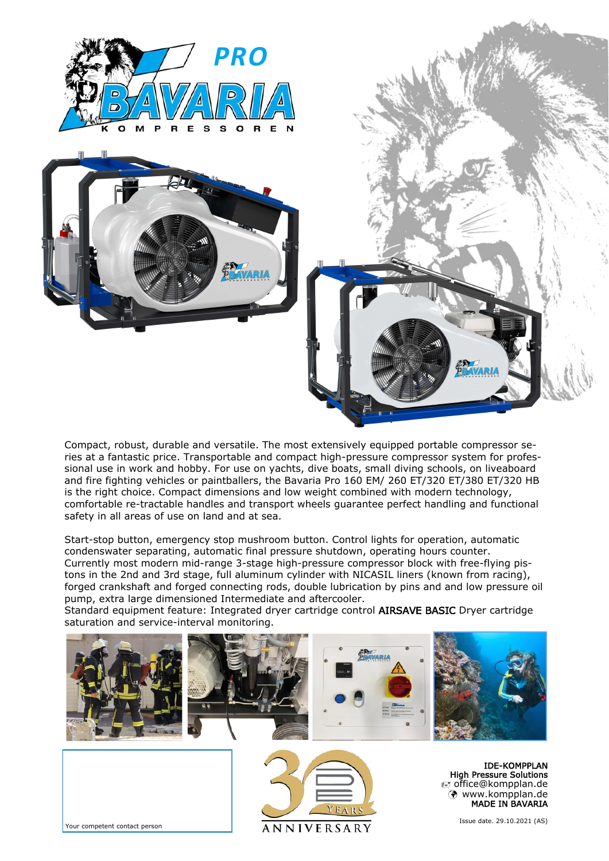

Compact, robust, durable and versatile. The most extensively equipped portable compressor series at a fantastic price. Transportable and compact high-pressure compressor system for professional use in work and hobby. For use on yachts, dive boats, small diving schools, on liveaboard and fire fighting vehicles or paintballers, the Bavaria Pro 160 EM/ 260 ET/320 ET/380 ET/320 HB is the right choice. Compact dimensions and low weight combined with modern technology, comfortable re-tractable handles and transport wheels guarantee perfect handling and functional safety in all areas of use on land and at sea.

Start-stop button, emergency stop mushroom button. Control lights for operation, automatic condenswater separating, automatic final pressure shutdown, operating hours counter. Currently most modern mid-range 3-stage high-pressure compressor block with free-flying pistons in the 2nd and 3rd stage, full aluminum cylinder with NICASIL liners (known from racing), forged crankshaft and forged connecting rods, double lubrication by pins and and low pressure oil pump, extra large dimensioned Intermediate and aftercooler.

Standard equipment feature: Integrated dryer cartridge control AIRSAVE BASIC Dryer cartridge saturation and service-interval monitoring.



IDE-KOMPPLAN High Pressure Solutions office@kompplan.de www.kompplan.de MADE IN BAVARIA



**ANNIVERSARY**